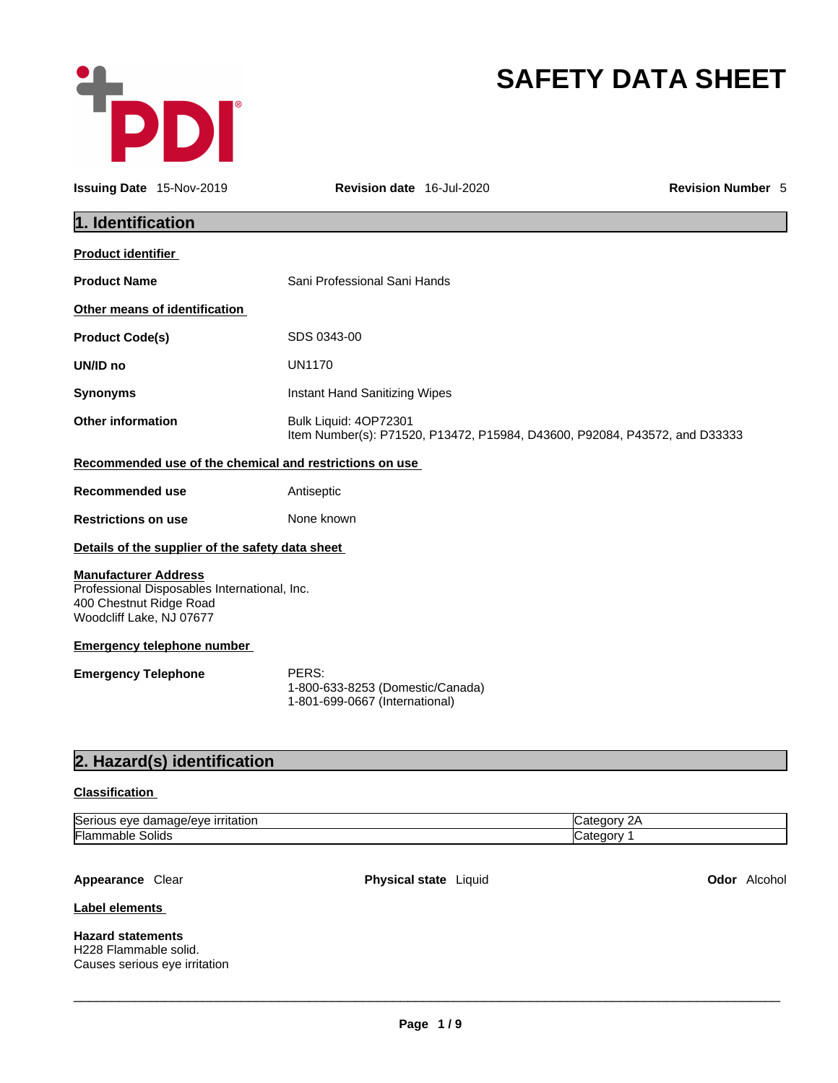

# **SAFETY DATA SHEET**

| <b>Issuing Date 15-Nov-2019</b>                                                    |                                                  | Revision date 16-Jul-2020                                                                           | <b>Revision Number 5</b> |
|------------------------------------------------------------------------------------|--------------------------------------------------|-----------------------------------------------------------------------------------------------------|--------------------------|
| 1. Identification                                                                  |                                                  |                                                                                                     |                          |
| <b>Product identifier</b>                                                          |                                                  |                                                                                                     |                          |
| <b>Product Name</b>                                                                |                                                  | Sani Professional Sani Hands                                                                        |                          |
|                                                                                    | Other means of identification                    |                                                                                                     |                          |
| <b>Product Code(s)</b>                                                             |                                                  | SDS 0343-00                                                                                         |                          |
| UN/ID no                                                                           |                                                  | <b>UN1170</b>                                                                                       |                          |
| <b>Synonyms</b>                                                                    |                                                  | Instant Hand Sanitizing Wipes                                                                       |                          |
| <b>Other information</b>                                                           |                                                  | Bulk Liquid: 4OP72301<br>Item Number(s): P71520, P13472, P15984, D43600, P92084, P43572, and D33333 |                          |
|                                                                                    |                                                  | Recommended use of the chemical and restrictions on use                                             |                          |
| <b>Recommended use</b>                                                             |                                                  | Antiseptic                                                                                          |                          |
| <b>Restrictions on use</b>                                                         |                                                  | None known                                                                                          |                          |
|                                                                                    | Details of the supplier of the safety data sheet |                                                                                                     |                          |
| <b>Manufacturer Address</b><br>400 Chestnut Ridge Road<br>Woodcliff Lake, NJ 07677 | Professional Disposables International, Inc.     |                                                                                                     |                          |
|                                                                                    | <b>Emergency telephone number</b>                |                                                                                                     |                          |
| <b>Emergency Telephone</b>                                                         |                                                  | PERS:<br>1-800-633-8253 (Domestic/Canada)<br>1-801-699-0667 (International)                         |                          |
|                                                                                    | 2. Hazard(s) identification                      |                                                                                                     |                          |

## **Classification**

| <b>Seri</b><br><u>ırrıtatıor</u><br><br>۱۵۷۴<br>ם ו<br>. eve<br>uar<br>naue.<br>. . |  |
|-------------------------------------------------------------------------------------|--|
| Flar<br>Solids<br>эгж                                                               |  |

**Appearance** Clear **Physical state** Liquid **Odor** Alcohol

**Label elements**

**Hazard statements**  H228 Flammable solid. Causes serious eye irritation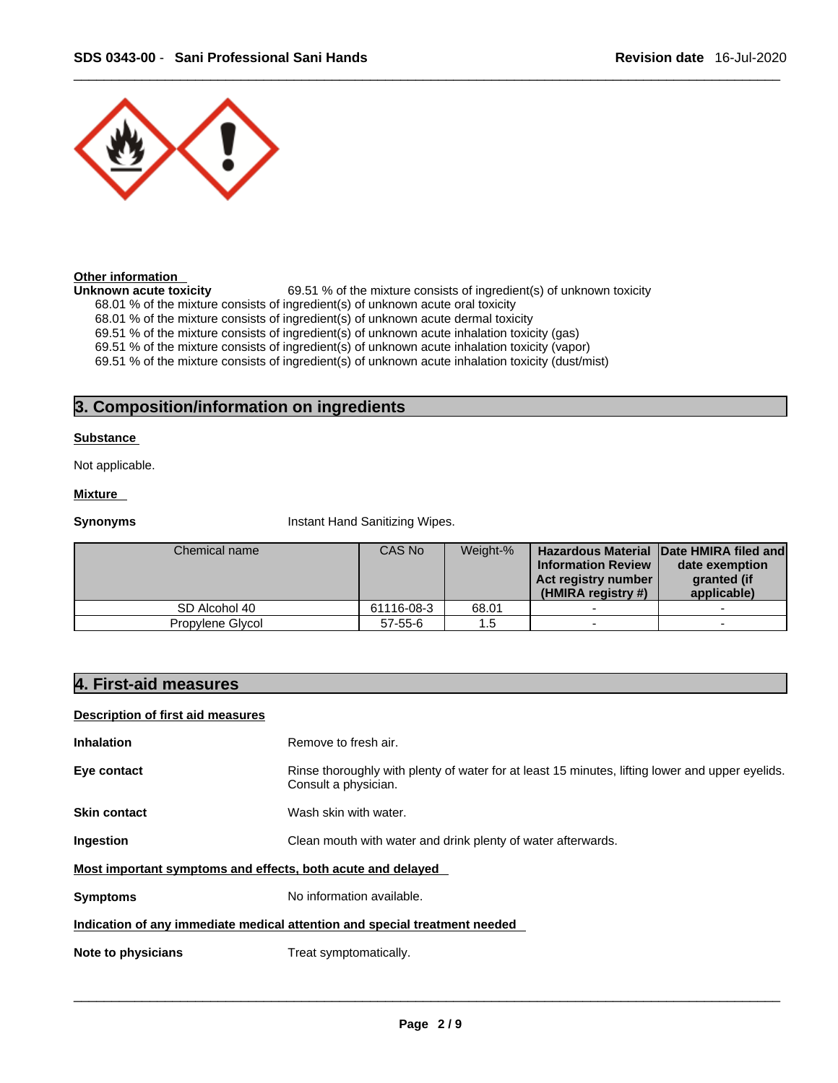

#### **Other information**

**Unknown acute toxicity** 69.51 % of the mixture consists of ingredient(s) of unknown toxicity

68.01 % of the mixture consists of ingredient(s) of unknown acute oral toxicity

68.01 % of the mixture consists of ingredient(s) of unknown acute dermal toxicity

69.51 % of the mixture consists of ingredient(s) of unknown acute inhalation toxicity (gas)

69.51 % of the mixture consists of ingredient(s) of unknown acute inhalation toxicity (vapor)

69.51 % of the mixture consists of ingredient(s) of unknown acute inhalation toxicity (dust/mist)

## **3. Composition/information on ingredients**

#### **Substance**

Not applicable.

#### **Mixture**

**Synonyms Instant Hand Sanitizing Wipes.** 

| Chemical name    | CAS No        | Weight-% | <b>Information Review</b><br>Act registry number<br>(HMIRA registry #) | <b>Hazardous Material Date HMIRA filed and</b><br>date exemption<br>granted (if<br>applicable) |  |
|------------------|---------------|----------|------------------------------------------------------------------------|------------------------------------------------------------------------------------------------|--|
| SD Alcohol 40    | 61116-08-3    | 68.01    |                                                                        |                                                                                                |  |
| Propylene Glycol | $57 - 55 - 6$ | 1.5      | $\overline{\phantom{0}}$                                               |                                                                                                |  |

### **4. First-aid measures**

#### **Description of first aid measures**

| Inhalation | Remove to fresh air. |
|------------|----------------------|
|            |                      |

**Eye contact Rinse thoroughly with plenty of water for at least 15 minutes, lifting lower and upper eyelids.** Consult a physician.

**Skin contact** Wash skin with water.

**Ingestion** Clean mouth with water and drink plenty of water afterwards.

#### **Most important symptoms and effects, both acute and delayed**

**Symptoms** No information available.

#### **Indication of any immediate medical attention and special treatment needed**

**Note to physicians** Treat symptomatically.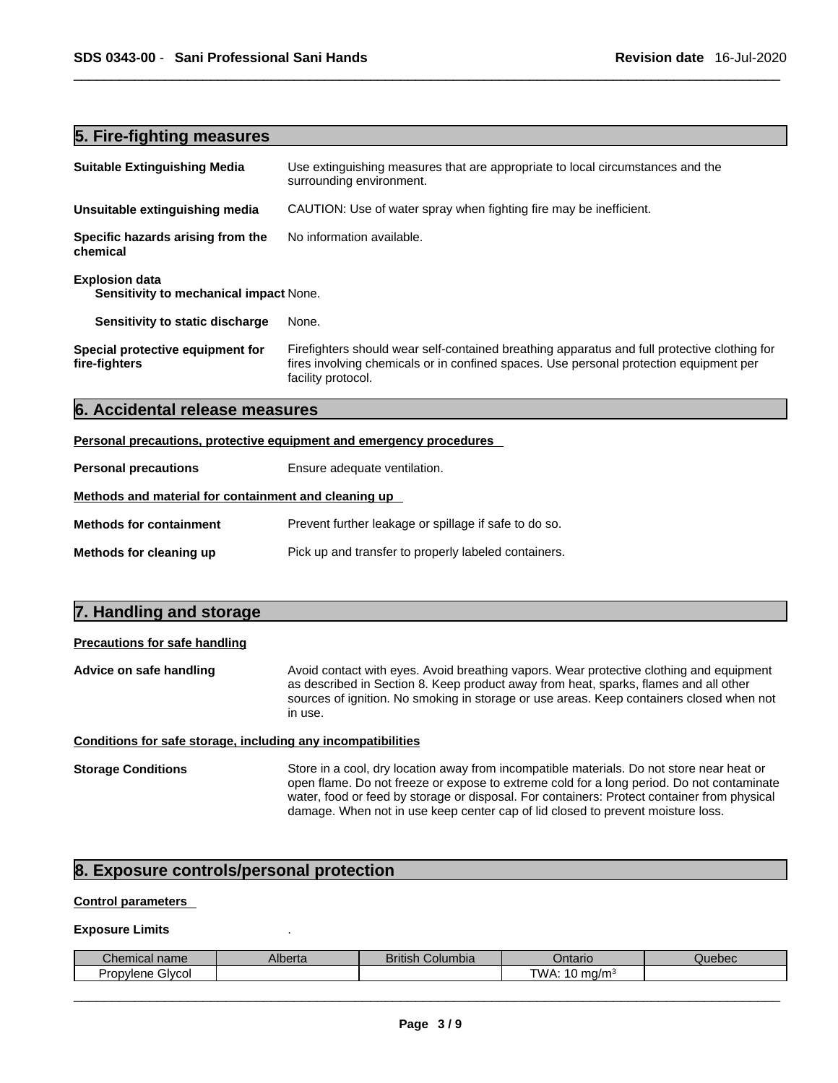## **5. Fire-fighting measures**

| <b>Suitable Extinguishing Media</b>                                        | Use extinguishing measures that are appropriate to local circumstances and the<br>surrounding environment.                                                                                                   |
|----------------------------------------------------------------------------|--------------------------------------------------------------------------------------------------------------------------------------------------------------------------------------------------------------|
| Unsuitable extinguishing media                                             | CAUTION: Use of water spray when fighting fire may be inefficient.                                                                                                                                           |
| No information available.<br>Specific hazards arising from the<br>chemical |                                                                                                                                                                                                              |
| <b>Explosion data</b><br><b>Sensitivity to mechanical impact None.</b>     |                                                                                                                                                                                                              |
| Sensitivity to static discharge                                            | None.                                                                                                                                                                                                        |
| Special protective equipment for<br>fire-fighters                          | Firefighters should wear self-contained breathing apparatus and full protective clothing for<br>fires involving chemicals or in confined spaces. Use personal protection equipment per<br>facility protocol. |
| 6. Accidental release measures                                             |                                                                                                                                                                                                              |

#### **Personal precautions, protective equipment and emergency procedures**

| <b>Personal precautions</b>                          | Ensure adequate ventilation.                          |
|------------------------------------------------------|-------------------------------------------------------|
| Methods and material for containment and cleaning up |                                                       |
| <b>Methods for containment</b>                       | Prevent further leakage or spillage if safe to do so. |
| Methods for cleaning up                              | Pick up and transfer to properly labeled containers.  |

| 7. Handling and storage                                      |                                                                                                                                                                                                                                                                                        |  |  |
|--------------------------------------------------------------|----------------------------------------------------------------------------------------------------------------------------------------------------------------------------------------------------------------------------------------------------------------------------------------|--|--|
| <b>Precautions for safe handling</b>                         |                                                                                                                                                                                                                                                                                        |  |  |
| Advice on safe handling                                      | Avoid contact with eyes. Avoid breathing vapors. Wear protective clothing and equipment<br>as described in Section 8. Keep product away from heat, sparks, flames and all other<br>sources of ignition. No smoking in storage or use areas. Keep containers closed when not<br>in use. |  |  |
| Conditions for safe storage, including any incompatibilities |                                                                                                                                                                                                                                                                                        |  |  |
| <b>Storage Conditions</b>                                    | Store in a cool, dry location away from incompatible materials. Do not store near heat or<br>consistence De pot freeze or expect to extreme cold for a long period. De pot contaminate                                                                                                 |  |  |

## open flame. Do not freeze or expose to extreme cold for a long period. Do not contaminate water, food or feed by storage or disposal. For containers: Protect container from physical damage. When not in use keep center cap of lid closed to prevent moisture loss.

## **8. Exposure controls/personal protection**

#### **Control parameters**

#### **Exposure Limits** .

| Chemical name       | Alberta | <b>British</b><br>Columbia | Jntario                | Quebec |
|---------------------|---------|----------------------------|------------------------|--------|
| Givcol<br>Propylene |         |                            | τ۱۸<br>I0 ma/m<br>VVA. |        |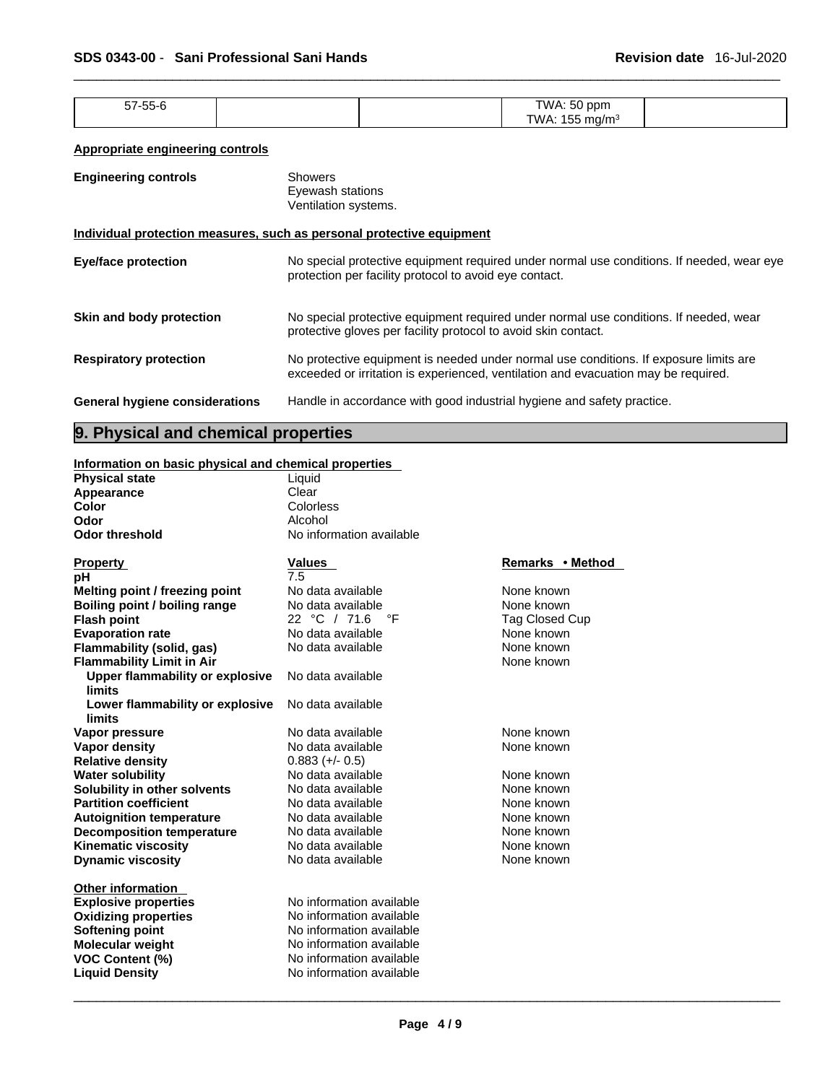| $-7 - 7$<br>7-00-l | $ \sim$<br>TWA: 50<br>ppm<br>וור |  |
|--------------------|----------------------------------|--|
| .                  | $ -$<br>"WA.<br>י∩∩n<br>∽        |  |
|                    |                                  |  |

#### **Appropriate engineering controls**

| <b>Engineering controls</b>                                           | Showers<br>Eyewash stations<br>Ventilation systems.                                                                                                                         |
|-----------------------------------------------------------------------|-----------------------------------------------------------------------------------------------------------------------------------------------------------------------------|
| Individual protection measures, such as personal protective equipment |                                                                                                                                                                             |
| <b>Eye/face protection</b>                                            | No special protective equipment required under normal use conditions. If needed, wear eye<br>protection per facility protocol to avoid eye contact.                         |
| Skin and body protection                                              | No special protective equipment required under normal use conditions. If needed, wear<br>protective gloves per facility protocol to avoid skin contact.                     |
| <b>Respiratory protection</b>                                         | No protective equipment is needed under normal use conditions. If exposure limits are<br>exceeded or irritation is experienced, ventilation and evacuation may be required. |
| <b>General hygiene considerations</b>                                 | Handle in accordance with good industrial hygiene and safety practice.                                                                                                      |

## **9. Physical and chemical properties**

### **Information on basic physical and chemical properties**

| <b>Physical state</b>            | Liquid                   |                  |
|----------------------------------|--------------------------|------------------|
| Appearance                       | Clear                    |                  |
| Color                            | Colorless                |                  |
| Odor                             | Alcohol                  |                  |
| <b>Odor threshold</b>            | No information available |                  |
|                                  |                          |                  |
| <b>Property</b>                  | <b>Values</b>            | Remarks • Method |
| рH                               | 7.5                      |                  |
| Melting point / freezing point   | No data available        | None known       |
| Boiling point / boiling range    | No data available        | None known       |
| <b>Flash point</b>               | 22 °C / 71.6<br>°F       | Tag Closed Cup   |
| <b>Evaporation rate</b>          | No data available        | None known       |
| Flammability (solid, gas)        | No data available        | None known       |
| <b>Flammability Limit in Air</b> |                          | None known       |
| Upper flammability or explosive  | No data available        |                  |
| limits                           |                          |                  |
| Lower flammability or explosive  | No data available        |                  |
| limits                           |                          |                  |
| Vapor pressure                   | No data available        | None known       |
| <b>Vapor density</b>             | No data available        | None known       |
| <b>Relative density</b>          | $0.883 (+/- 0.5)$        |                  |
| <b>Water solubility</b>          | No data available        | None known       |
| Solubility in other solvents     | No data available        | None known       |
| <b>Partition coefficient</b>     | No data available        | None known       |
| <b>Autoignition temperature</b>  | No data available        | None known       |
| <b>Decomposition temperature</b> | No data available        | None known       |
| <b>Kinematic viscosity</b>       | No data available        | None known       |
| <b>Dynamic viscosity</b>         | No data available        | None known       |
|                                  |                          |                  |
| <b>Other information</b>         | No information available |                  |
| <b>Explosive properties</b>      |                          |                  |
| <b>Oxidizing properties</b>      | No information available |                  |
| <b>Softening point</b>           | No information available |                  |
| <b>Molecular weight</b>          | No information available |                  |
| <b>VOC Content (%)</b>           | No information available |                  |
| <b>Liquid Density</b>            | No information available |                  |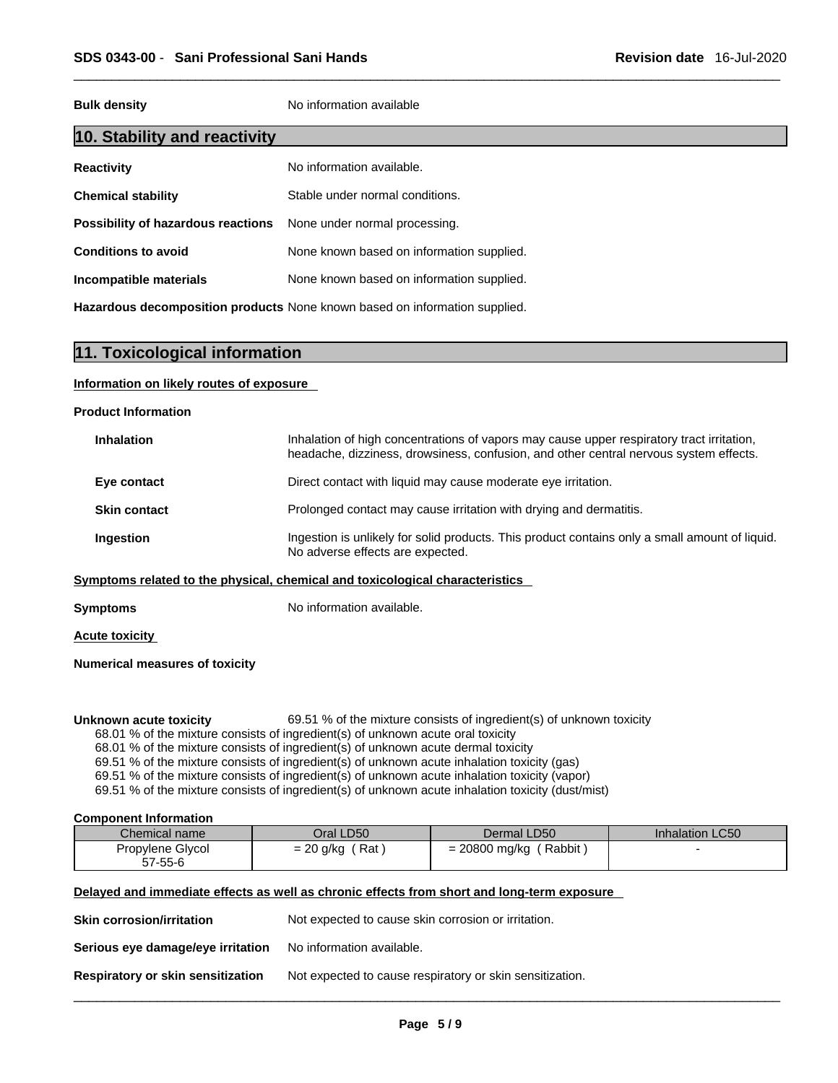**Bulk density No information available** 

## **10. Stability and reactivity**

| <b>Reactivity</b>                                                       | No information available.                 |
|-------------------------------------------------------------------------|-------------------------------------------|
| <b>Chemical stability</b>                                               | Stable under normal conditions.           |
| <b>Possibility of hazardous reactions</b> None under normal processing. |                                           |
| <b>Conditions to avoid</b>                                              | None known based on information supplied. |
| Incompatible materials                                                  | None known based on information supplied. |
|                                                                         |                                           |

**Hazardous decomposition products** None known based on information supplied.

## **11. Toxicological information**

#### **Information on likely routes of exposure**

#### **Product Information**

| Inhalation of high concentrations of vapors may cause upper respiratory tract irritation,<br>headache, dizziness, drowsiness, confusion, and other central nervous system effects. |
|------------------------------------------------------------------------------------------------------------------------------------------------------------------------------------|
| Direct contact with liquid may cause moderate eye irritation.                                                                                                                      |
| Prolonged contact may cause irritation with drying and dermatitis.                                                                                                                 |
| Ingestion is unlikely for solid products. This product contains only a small amount of liquid.<br>No adverse effects are expected.                                                 |
|                                                                                                                                                                                    |

#### **<u>Symptoms related to the physical, chemical and toxicological characteristics</u>**

**Symptoms** No information available.

**Acute toxicity**

**Numerical measures of toxicity**

**Unknown acute toxicity** 69.51 % of the mixture consists of ingredient(s) of unknown toxicity

68.01 % of the mixture consists of ingredient(s) of unknown acute oral toxicity

68.01 % of the mixture consists of ingredient(s) of unknown acute dermal toxicity

69.51 % of the mixture consists of ingredient(s) ofunknown acute inhalation toxicity (gas)

69.51 % of the mixture consists of ingredient(s) of unknown acute inhalation toxicity (vapor)

69.51 % of the mixture consists of ingredient(s) of unknown acute inhalation toxicity (dust/mist)

#### **Component Information**

| Chemical name    | Oral LD50            | Dermal LD50           | <b>Inhalation LC50</b> |
|------------------|----------------------|-----------------------|------------------------|
| Propylene Glycol | Rat .<br>$= 20$ g/kg | Rabbit<br>20800 mg/kg |                        |
| 57-55-6          |                      |                       |                        |

#### **Delayed and immediate effects as well as chronic effects from short and long-term exposure**

| Skin corrosion/irritation         | Not expected to cause skin corrosion or irritation.      |
|-----------------------------------|----------------------------------------------------------|
| Serious eye damage/eye irritation | No information available.                                |
| Respiratory or skin sensitization | Not expected to cause respiratory or skin sensitization. |
|                                   |                                                          |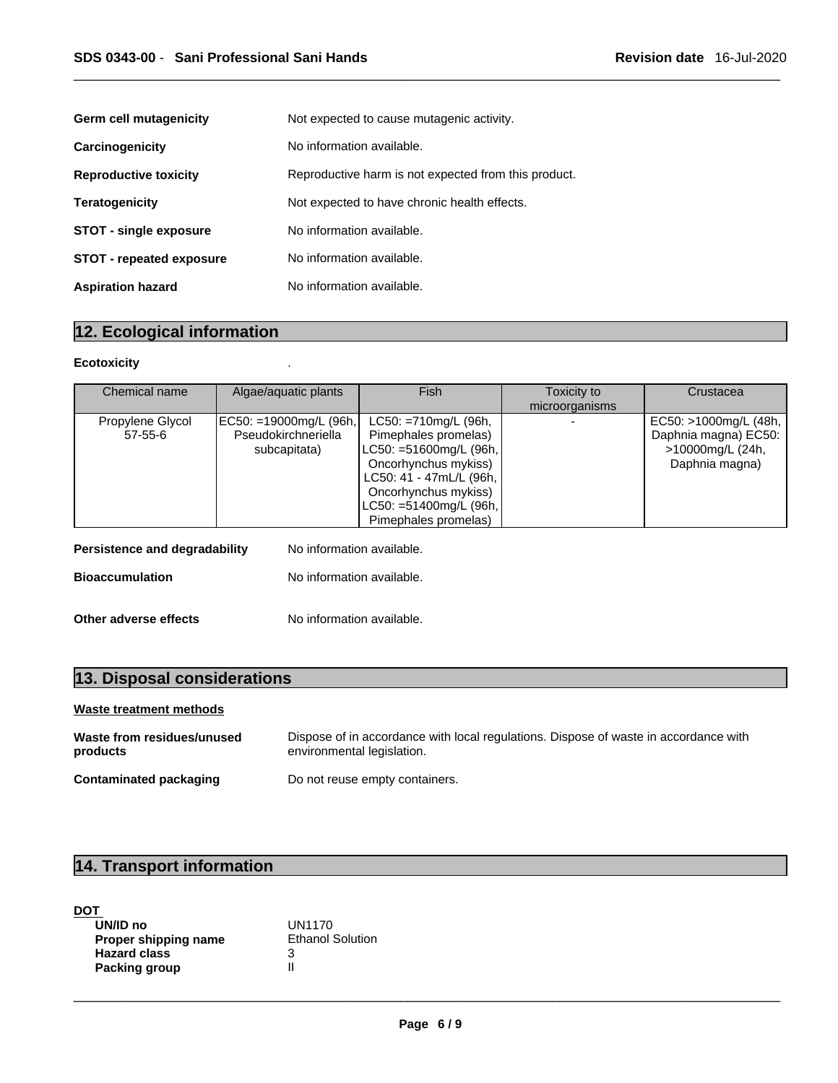| <b>Germ cell mutagenicity</b>   | Not expected to cause mutagenic activity.            |  |
|---------------------------------|------------------------------------------------------|--|
| Carcinogenicity                 | No information available.                            |  |
| <b>Reproductive toxicity</b>    | Reproductive harm is not expected from this product. |  |
| <b>Teratogenicity</b>           | Not expected to have chronic health effects.         |  |
| <b>STOT - single exposure</b>   | No information available.                            |  |
| <b>STOT - repeated exposure</b> | No information available.                            |  |
| <b>Aspiration hazard</b>        | No information available.                            |  |

## **12. Ecological information**

#### **Ecotoxicity** .

| Chemical name                 | Algae/aquatic plants                                          | <b>Fish</b>                                                                                                                                                                                                | Toxicity to<br>microorganisms | Crustacea                                                                           |
|-------------------------------|---------------------------------------------------------------|------------------------------------------------------------------------------------------------------------------------------------------------------------------------------------------------------------|-------------------------------|-------------------------------------------------------------------------------------|
| Propylene Glycol<br>57-55-6   | EC50: =19000mg/L (96h,<br>Pseudokirchneriella<br>subcapitata) | $LC50: = 710$ mg/L (96h,<br>Pimephales promelas)<br>LC50: =51600mg/L (96h,<br>Oncorhynchus mykiss)<br>LC50: 41 - 47mL/L (96h,<br>Oncorhynchus mykiss)<br>$LC50: = 51400mg/L$ (96h,<br>Pimephales promelas) |                               | EC50: >1000mg/L (48h,<br>Daphnia magna) EC50:<br>>10000mg/L (24h,<br>Daphnia magna) |
| Persistence and degradability | No information available.                                     |                                                                                                                                                                                                            |                               |                                                                                     |
| <b>Bioaccumulation</b>        | No information available.                                     |                                                                                                                                                                                                            |                               |                                                                                     |
| Other adverse effects         | No information available.                                     |                                                                                                                                                                                                            |                               |                                                                                     |

# **13. Disposal considerations**

### **Waste treatment methods**

| Waste from residues/unused | Dispose of in accordance with local regulations. Dispose of waste in accordance with |
|----------------------------|--------------------------------------------------------------------------------------|
| products                   | environmental legislation.                                                           |
| Contaminated packaging     | Do not reuse empty containers.                                                       |

## **14. Transport information**

| DOT                  |                         |  |
|----------------------|-------------------------|--|
| UN/ID no             | <b>UN1170</b>           |  |
| Proper shipping name | <b>Ethanol Solution</b> |  |
| <b>Hazard class</b>  |                         |  |
| Packing group        |                         |  |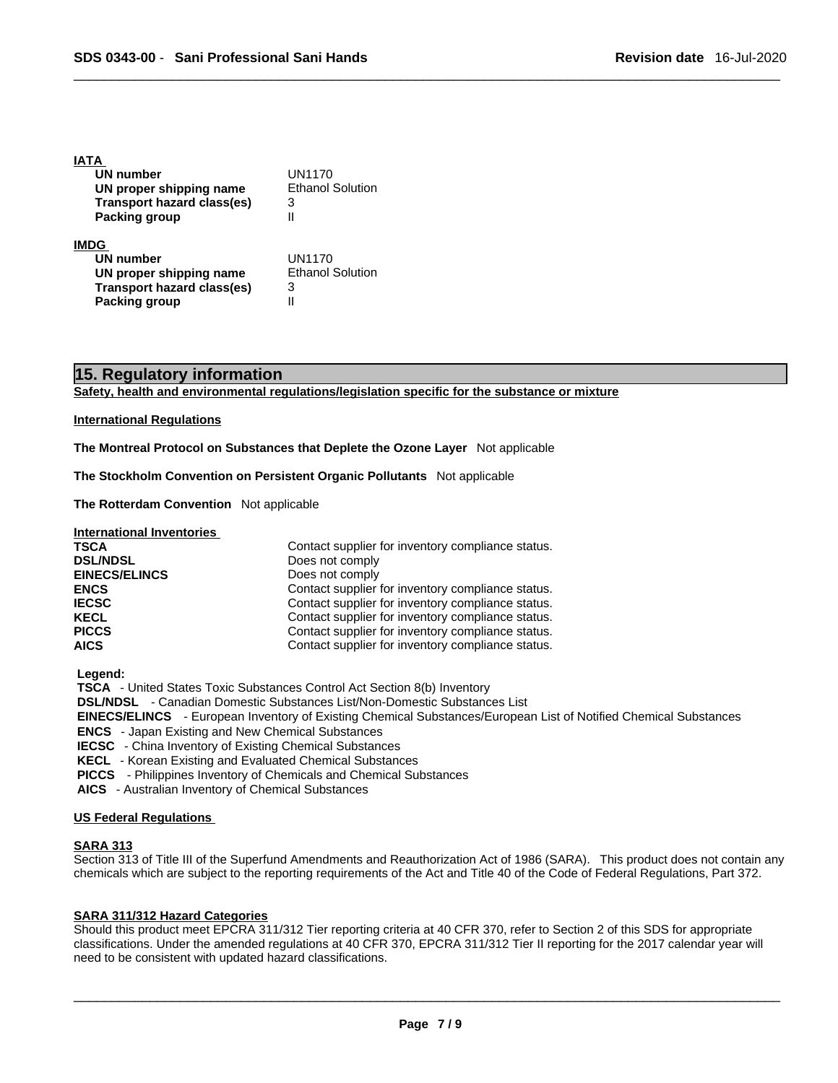| UN1170                  |  |
|-------------------------|--|
| <b>Ethanol Solution</b> |  |
| 3                       |  |
|                         |  |
|                         |  |
| UN1170                  |  |
| <b>Ethanol Solution</b> |  |
| 3                       |  |
|                         |  |
|                         |  |

## **15. Regulatory information**

**Safety, health and environmental regulations/legislation specific for the substance or mixture**

#### **International Regulations**

**IATA** 

**The Montreal Protocol on Substances that Deplete the Ozone Layer** Not applicable

**The Stockholm Convention on Persistent Organic Pollutants** Not applicable

**The Rotterdam Convention** Not applicable

| <b>TSCA</b>          | Contact supplier for inventory compliance status. |
|----------------------|---------------------------------------------------|
| <b>DSL/NDSL</b>      | Does not comply                                   |
| <b>EINECS/ELINCS</b> | Does not comply                                   |
| <b>ENCS</b>          | Contact supplier for inventory compliance status. |
| <b>IECSC</b>         | Contact supplier for inventory compliance status. |
| <b>KECL</b>          | Contact supplier for inventory compliance status. |
| <b>PICCS</b>         | Contact supplier for inventory compliance status. |
| <b>AICS</b>          | Contact supplier for inventory compliance status. |

 **Legend:** 

 **TSCA** - United States Toxic Substances Control Act Section 8(b) Inventory

 **DSL/NDSL** - Canadian Domestic Substances List/Non-Domestic Substances List

 **EINECS/ELINCS** - European Inventory of Existing Chemical Substances/European List of Notified Chemical Substances

 **ENCS** - Japan Existing and New Chemical Substances

 **IECSC** - China Inventory of Existing Chemical Substances

 **KECL** - Korean Existing and Evaluated Chemical Substances

 **PICCS** - Philippines Inventory of Chemicals and Chemical Substances

 **AICS** - Australian Inventory of Chemical Substances

#### **US Federal Regulations**

#### **SARA 313**

Section 313 of Title III of the Superfund Amendments and Reauthorization Act of 1986 (SARA). This product does not contain any chemicals which are subject to the reporting requirements of the Act and Title 40 of the Code of Federal Regulations, Part 372.

#### **SARA 311/312 Hazard Categories**

Should this product meet EPCRA 311/312 Tier reporting criteria at 40 CFR 370, refer to Section 2 of this SDS for appropriate classifications. Under the amended regulations at 40 CFR 370, EPCRA 311/312 Tier II reporting for the 2017 calendar year will need to be consistent with updated hazard classifications.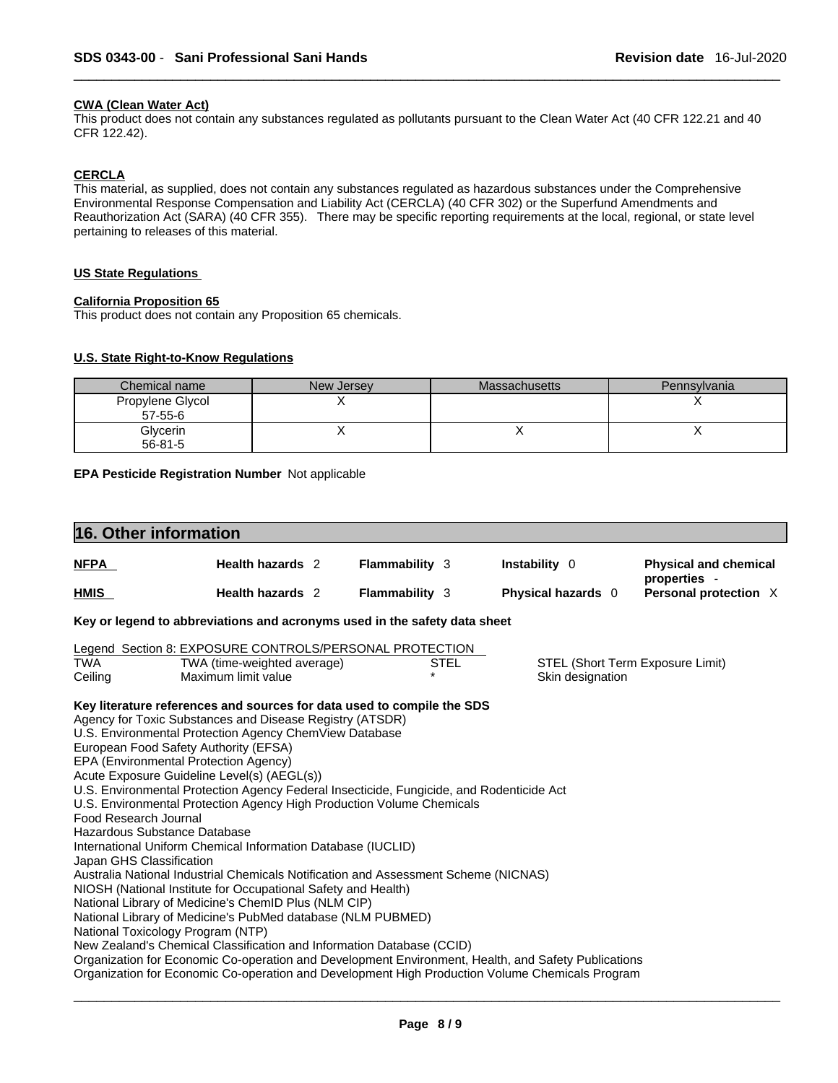#### **CWA (Clean WaterAct)**

This product does not contain any substances regulated as pollutants pursuant to the Clean Water Act (40 CFR 122.21 and 40 CFR 122.42).

#### **CERCLA**

This material, as supplied, does not contain any substances regulated as hazardous substances under the Comprehensive Environmental Response Compensation and Liability Act (CERCLA) (40 CFR 302) or the Superfund Amendments and Reauthorization Act (SARA) (40 CFR 355). There may be specific reporting requirements at the local, regional, or state level pertaining to releases of this material.

#### **US State Regulations**

#### **California Proposition 65**

This product does not contain any Proposition 65 chemicals.

#### **U.S. State Right-to-Know Regulations**

| Chemical name    | New Jersey | <b>Massachusetts</b> | Pennsylvania |
|------------------|------------|----------------------|--------------|
| Propylene Glycol |            |                      |              |
| 57-55-6          |            |                      |              |
| Glycerin         |            |                      |              |
| $56 - 81 - 5$    |            |                      |              |

**EPA Pesticide Registration Number** Not applicable

|                                                   | 16. Other information                                                                                                                                                                                                                                                                                                                                                                                                                                                                                                                                                                                                                                                                                                                                                                                                                                                                                                                                                                                                                                               |                       |                                                      |                                              |
|---------------------------------------------------|---------------------------------------------------------------------------------------------------------------------------------------------------------------------------------------------------------------------------------------------------------------------------------------------------------------------------------------------------------------------------------------------------------------------------------------------------------------------------------------------------------------------------------------------------------------------------------------------------------------------------------------------------------------------------------------------------------------------------------------------------------------------------------------------------------------------------------------------------------------------------------------------------------------------------------------------------------------------------------------------------------------------------------------------------------------------|-----------------------|------------------------------------------------------|----------------------------------------------|
| <u>NFPA</u>                                       | Health hazards 2                                                                                                                                                                                                                                                                                                                                                                                                                                                                                                                                                                                                                                                                                                                                                                                                                                                                                                                                                                                                                                                    | Flammability 3        | Instability 0                                        | <b>Physical and chemical</b><br>properties - |
| <b>HMIS</b>                                       | Health hazards 2                                                                                                                                                                                                                                                                                                                                                                                                                                                                                                                                                                                                                                                                                                                                                                                                                                                                                                                                                                                                                                                    | <b>Flammability 3</b> | Physical hazards 0                                   | Personal protection X                        |
|                                                   | Key or legend to abbreviations and acronyms used in the safety data sheet                                                                                                                                                                                                                                                                                                                                                                                                                                                                                                                                                                                                                                                                                                                                                                                                                                                                                                                                                                                           |                       |                                                      |                                              |
|                                                   | Legend Section 8: EXPOSURE CONTROLS/PERSONAL PROTECTION                                                                                                                                                                                                                                                                                                                                                                                                                                                                                                                                                                                                                                                                                                                                                                                                                                                                                                                                                                                                             |                       |                                                      |                                              |
| TWA<br>Ceiling                                    | TWA (time-weighted average)<br>Maximum limit value                                                                                                                                                                                                                                                                                                                                                                                                                                                                                                                                                                                                                                                                                                                                                                                                                                                                                                                                                                                                                  | <b>STEL</b>           | STEL (Short Term Exposure Limit)<br>Skin designation |                                              |
| Food Research Journal<br>Japan GHS Classification | U.S. Environmental Protection Agency ChemView Database<br>European Food Safety Authority (EFSA)<br>EPA (Environmental Protection Agency)<br>Acute Exposure Guideline Level(s) (AEGL(s))<br>U.S. Environmental Protection Agency Federal Insecticide, Fungicide, and Rodenticide Act<br>U.S. Environmental Protection Agency High Production Volume Chemicals<br>Hazardous Substance Database<br>International Uniform Chemical Information Database (IUCLID)<br>Australia National Industrial Chemicals Notification and Assessment Scheme (NICNAS)<br>NIOSH (National Institute for Occupational Safety and Health)<br>National Library of Medicine's ChemID Plus (NLM CIP)<br>National Library of Medicine's PubMed database (NLM PUBMED)<br>National Toxicology Program (NTP)<br>New Zealand's Chemical Classification and Information Database (CCID)<br>Organization for Economic Co-operation and Development Environment, Health, and Safety Publications<br>Organization for Economic Co-operation and Development High Production Volume Chemicals Program |                       |                                                      |                                              |